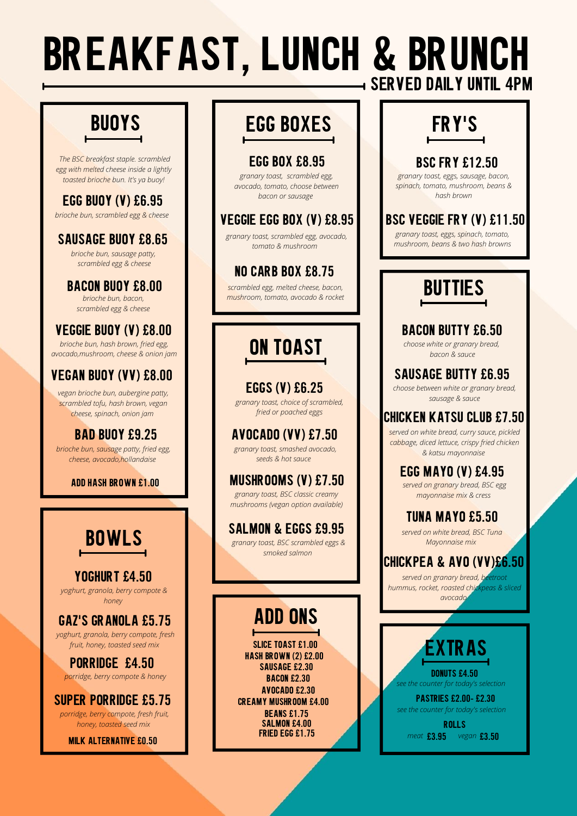# **BREAKFAST, LUNCH & BRUNCH SERVED DAILY UNTIL 4PM**

#### **BAD BUOY £9.25**

## **BUOYS**

## **BOWLS**

# **BUTTIES**

### **EGG BUOY (V) £6.95**

*brioche bun, scrambled egg & cheese*

#### **SAUSAGE BUOY £8.65**

*brioche bun, sausage patty, scrambled egg & cheese*

#### **BACON BUOY £8.00**

*brioche bun, bacon, scrambled egg & cheese*

#### **VEGGIE BUOY (V) £8.00**

*brioche bun, hash brown, fried egg, avocado,mushroom, cheese & onion jam*

#### **VEGAN BUOY (VV) £8.00**

*vegan brioche bun, aubergine patty, scrambled tofu, hash brown, vegan cheese, spinach, onion jam*

*brioche bun, sausage patty, fried egg, cheese, avocado,hollandaise*

**EGGS (V) £6.25**

*granary toast, choice of scrambled, fried or poached eggs*

#### **AVOCADO (VV) £7.50**

*granary toast, smashed avocado, seeds & hot sauce* 

#### **MUSHROOMS (V) £7.50**

*granary toast, BSC classic creamy mushrooms (vegan option available)*

#### **BACON BUTTY £6.50**

*choose white or granary bread, bacon & sauce*

### **SAUSAGE BUTTY £6.95**

*choose between white or granary bread, sausage & sauce*

## **EGG BOXES**

*scrambled egg, melted cheese, bacon, mushroom, tomato, avocado & rocket*

#### **EGG BOX £8.95**

*granary toast, scrambled egg, avocado, tomato, choose between bacon or sausage*

#### **VEGGIE EGG BOX (V) £8.95**

*granary toast, scrambled egg, avocado, tomato & mushroom* 

#### **NO CARB BOX £8.75**

# **FRY'S**

#### **BSC VEGGIE FRY (V) £11.50**

*granary toast, eggs, spinach, tomato, mushroom, beans & two hash browns*

### **BSC FRY £12.50**

*granary toast, eggs, sausage, bacon, spinach, tomato, mushroom, beans & hash brown*

### **CHICKEN KATSU CLUB £7.50**

#### **TUNA MAYO £5.50**

#### **EGG MAYO (V) £4.95**

#### **CHICKPEA & AVO (VV)£6.50**

*served on white bread, curry sauce, pickled*

*cabbage, diced lettuce, crispy fried chicken & katsu mayonnaise*

## **ON TOAST**

## **ADD ONS**



#### **YOGHURT £4.50**

#### **GAZ'S GRANOLA £5.75**

#### **SUPER PORRIDGE £5.75**

#### **PORRIDGE £4.50**

#### **PASTRIES £2.00- £2.30**

**ROLLS**

*meat* £3.95 vegan £3.50

#### **SALMON & EGGS £9.95**

**DONUTS £4.50** *see the counter for today's selection*

*granary toast, BSC scrambled eggs & smoked salmon*

*The BSC breakfast staple. scrambled egg with melted cheese inside a lightly toasted brioche bun. It's ya buoy!* 

#### **ADD HASH BROWN £1.00**

*yoghurt, granola, berry compote & honey*

> **SLICE TOAST £1.00 HASH BROWN (2) £2.00 SAUSAGE £2.30 BACON £2.30 AVOCADO £2.30 CREAMY MUSHROOM £4.00 BEANS £1.75 SALMON £4.00 FRIED EGG £1.75**

*served on granary bread, BSC egg mayonnaise mix & cress*

*served on white bread, BSC Tuna Mayonnaise mix*

*served on granary bread, beetroot hummus, rocket, roasted chickpeas & sliced avocado*

*see the counter for today's selection*

*yoghurt, granola, berry compote, fresh fruit, honey, toasted seed mix*

*porridge, berry compote, fresh fruit, honey, toasted seed mix*

*porridge, berry compote & honey*

#### **£3.95 £3.50 MILK ALTERNATIVE £0.50**